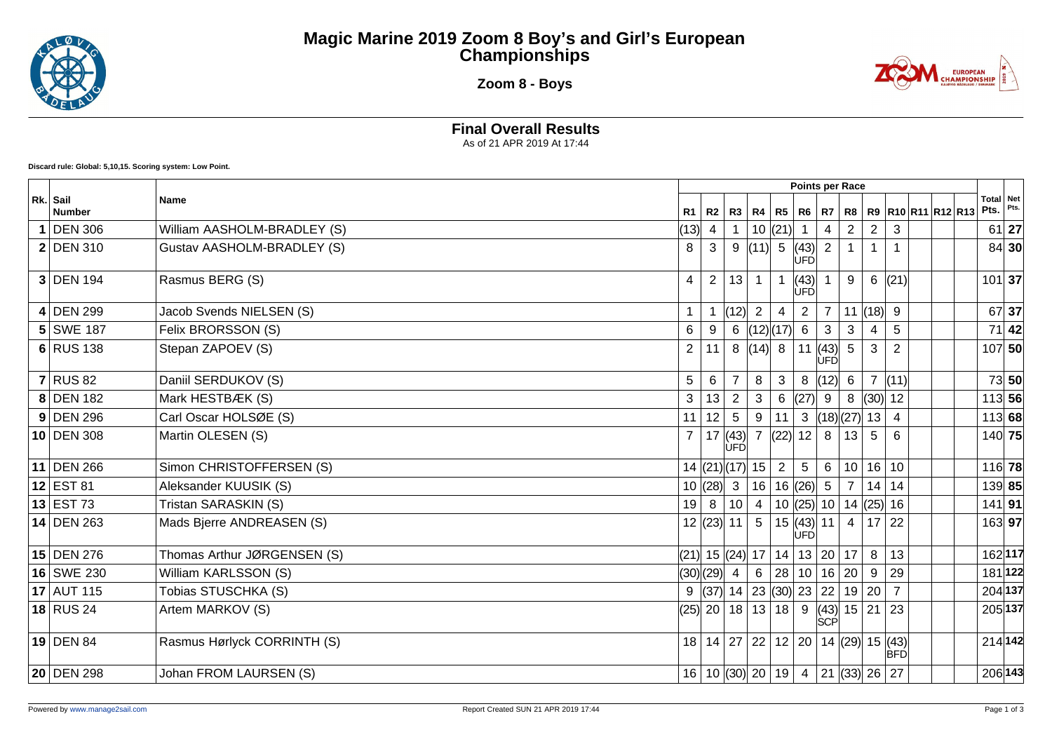

## **Magic Marine 2019 Zoom 8 Boy's and Girl's European Championships**

**Zoom 8 - Boys**



**Final Overall Results**

As of 21 APR 2019 At 17:44

**Discard rule: Global: 5,10,15. Scoring system: Low Point.**

|                           |                             | Points per Race |                |                                                     |                 |                 |                            |                                               |                |                |                |  |                                 |                   |         |
|---------------------------|-----------------------------|-----------------|----------------|-----------------------------------------------------|-----------------|-----------------|----------------------------|-----------------------------------------------|----------------|----------------|----------------|--|---------------------------------|-------------------|---------|
| Rk. Sail<br><b>Number</b> | <b>Name</b>                 |                 |                | R1   R2   R3   R4   R5   R6                         |                 |                 |                            | <b>R7</b>                                     |                |                |                |  | R8   R9   R10   R11   R12   R13 | Total Net<br>Pts. | Pts.    |
| <b>DEN 306</b>            | William AASHOLM-BRADLEY (S) | (13)            | $\overline{4}$ |                                                     |                 | 10  (21)        |                            | 4                                             | $\overline{2}$ |                |                |  |                                 |                   | $61$ 27 |
| $2$ DEN 310               | Gustav AASHOLM-BRADLEY (S)  | 8               | 3              | 9                                                   | (11)            | $5\overline{)}$ | (43)<br><b>ÚFD</b>         | 2                                             |                |                |                |  |                                 |                   | $84$ 30 |
| $3$ DEN 194               | Rasmus BERG (S)             | $\overline{4}$  | $\overline{2}$ | 13                                                  | $\mathbf{1}$    | $\mathbf{1}$    | (43) <br><b>UFD</b>        |                                               | 9              | 6              | (21)           |  |                                 | $101$ 37          |         |
| $4$ DEN 299               | Jacob Svends NIELSEN (S)    | $\mathbf{1}$    | $\overline{1}$ | (12)                                                | $\overline{2}$  | $\overline{4}$  | 2                          | $\overline{7}$                                |                | 11  (18)       | 9              |  |                                 |                   | 67 37   |
| 5 SWE 187                 | Felix BRORSSON (S)          | 6               | 9              | 6                                                   | (12)(17)        |                 | 6                          | 3                                             | 3              |                | 5              |  |                                 | 71                | 42      |
| $6$ RUS 138               | Stepan ZAPOEV (S)           | $\overline{2}$  | 11             | 8                                                   | (14) 8          |                 | $\vert$ 11                 | (43)<br><b>ÚFD</b>                            | 5              | 3              | $\overline{2}$ |  |                                 | $107$ 50          |         |
| $7$ RUS 82                | Daniil SERDUKOV (S)         | 5               | 6              | $\overline{7}$                                      | 8               | $\mathbf{3}$    | 8                          | (12)                                          | $6\phantom{1}$ | $\overline{7}$ | (11)           |  |                                 |                   | 73 50   |
| 8 DEN 182                 | Mark HESTBÆK (S)            | 3               | 13             | 2                                                   | 3               | 6               | (27)                       | 9                                             | 8              | $ (30) $ 12    |                |  |                                 | $113$ 56          |         |
| $9$ DEN 296               | Carl Oscar HOLSØE (S)       |                 | 11 12          | 5                                                   | 9               | 11              | 3                          | (18)(27)                                      |                | 13             | $\overline{4}$ |  |                                 | 113 68            |         |
| $10$ DEN 308              | Martin OLESEN (S)           | $\overline{7}$  |                | $ 17 $ (43)<br>ÚFD                                  |                 |                 | 7  (22)  12                | 8                                             | 13             | 5 <sup>5</sup> | 6              |  |                                 | 140 75            |         |
| 11 DEN 266                | Simon CHRISTOFFERSEN (S)    |                 |                | $14$ (21)(17) 15                                    |                 | $\overline{2}$  | 5                          | 6                                             | 10             |                | 16 10          |  |                                 | $116$ 78          |         |
| $12$ EST 81               | Aleksander KUUSIK (S)       |                 |                | 10  (28)  3                                         | 16              |                 | 16  (26)                   | $5\phantom{.0}$                               | $\overline{7}$ |                | 14 14          |  |                                 | 139 85            |         |
| $13$ EST 73               | Tristan SARASKIN (S)        | 19              | 8 <sup>1</sup> | 10                                                  | $\overline{4}$  |                 |                            | 10 $(25)$ 10 14 $(25)$ 16                     |                |                |                |  |                                 | $141$ 91          |         |
| 14 DEN 263                | Mads Bjerre ANDREASEN (S)   |                 |                | 12  (23)  11                                        | 5 <sup>5</sup>  |                 | 15  (43)  11<br><b>UFD</b> |                                               | $4 \mid$       |                | 17 22          |  |                                 | 163 97            |         |
| $15$ DEN 276              | Thomas Arthur JØRGENSEN (S) |                 |                | $(21)$ 15 $(24)$                                    | 17 <sup>1</sup> |                 | 14 13 20                   |                                               | 17             | 8              | 13             |  |                                 | 162 117           |         |
| 16 SWE 230                | William KARLSSON (S)        |                 |                | (30)(29) 4                                          | $6\overline{6}$ |                 |                            | 28 10 16                                      | 20             | 9              | 29             |  |                                 |                   | 181 122 |
| 17 AUT 115                | Tobias STUSCHKA (S)         |                 |                | 9 $ (37) $ 14 $ 23 $ $ (30) $ 23 $ 22 $             |                 |                 |                            |                                               |                | 19 20          | $\overline{7}$ |  |                                 | 204 137           |         |
| $18$ RUS 24               | Artem MARKOV (S)            |                 |                | $(25)$ 20 18 13 18 9                                |                 |                 |                            | (43)<br>SCP                                   | $15$   21   23 |                |                |  |                                 | 205 137           |         |
| $19$ DEN 84               | Rasmus Hørlyck CORRINTH (S) |                 |                | 18   14   27   22   12   20   14   (29)   15   (43) |                 |                 |                            |                                               |                |                | <b>BFD</b>     |  |                                 | 214 142           |         |
| 20 DEN 298                | Johan FROM LAURSEN (S)      |                 |                | $16 10 $ (30) 20   19   4                           |                 |                 |                            | $\vert$ 21 $\vert$ (33) $\vert$ 26 $\vert$ 27 |                |                |                |  |                                 | 206 143           |         |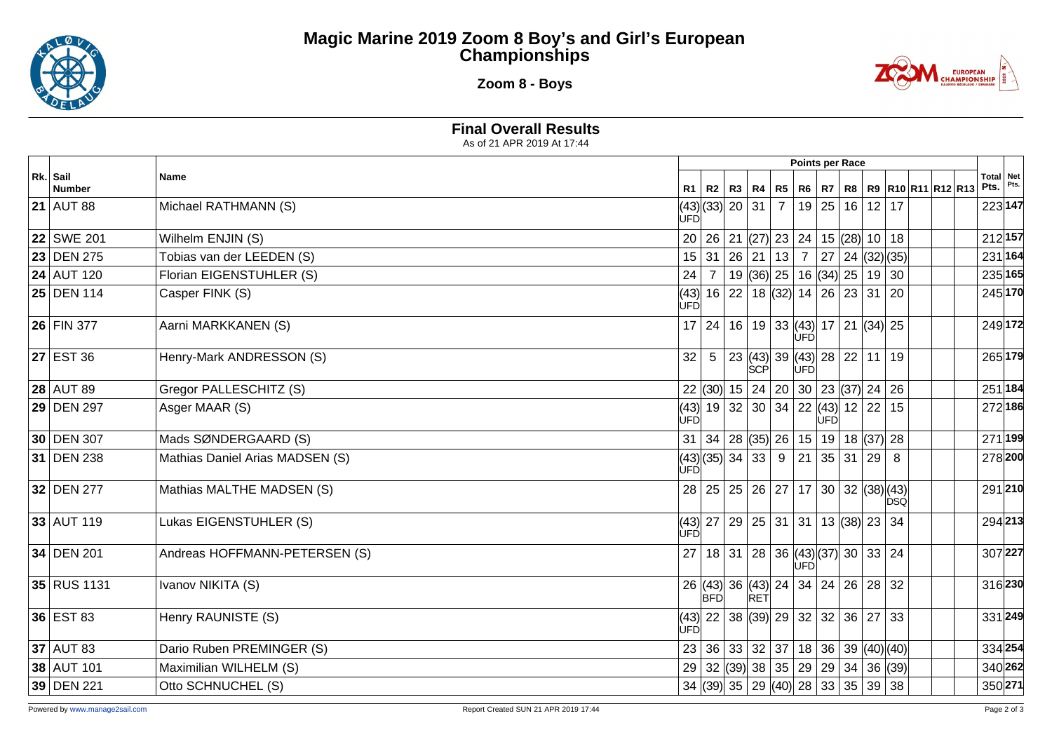

## **Magic Marine 2019 Zoom 8 Boy's and Girl's European Championships**

**Zoom 8 - Boys**



**Final Overall Results**

As of 21 APR 2019 At 17:44

|                           |                                 |     |                    |                                                                                                    |                |      |      |                |            |                             | Points per Race   |         |  |  |  |
|---------------------------|---------------------------------|-----|--------------------|----------------------------------------------------------------------------------------------------|----------------|------|------|----------------|------------|-----------------------------|-------------------|---------|--|--|--|
| Rk. Sail<br><b>Number</b> | Name                            |     |                    | R1   R2   R3   R4   R5   R6   R7                                                                   |                |      |      |                |            | R8   R9  R10  R11  R12  R13 | Total Net<br>Pts. | Pts.    |  |  |  |
| 21 AUT 88                 | Michael RATHMANN (S)            | ÙFD | (43) (33)  20   31 |                                                                                                    | $\overline{7}$ |      |      | 19 25 16 12 17 |            |                             | 223 147           |         |  |  |  |
| 22 SWE 201                | Wilhelm ENJIN (S)               |     |                    | 20   26   21   (27)   23   24   15   (28)   10   18                                                |                |      |      |                |            |                             | 212 157           |         |  |  |  |
| 23 DEN 275                | Tobias van der LEEDEN (S)       |     | 15 31              | $\boxed{26}\boxed{21}\boxed{13}\boxed{7}\boxed{27}\boxed{24}\boxed{(32)}\boxed{(35)}$              |                |      |      |                |            |                             | 231 164           |         |  |  |  |
| $24$ AUT 120              | Florian EIGENSTUHLER (S)        | 24  | $\overline{7}$     | 19 (36) 25   16 (34) 25   19   30                                                                  |                |      |      |                |            |                             | 235 165           |         |  |  |  |
| 25 DEN 114                | Casper FINK (S)                 | ÙFĎ |                    | (43) 16 22 18 (32) 14 26 23 31 20                                                                  |                |      |      |                |            |                             | 245 170           |         |  |  |  |
| 26 FIN 377                | Aarni MARKKANEN (S)             |     |                    | 17 24 16 19 33 43 17 21 34 25                                                                      |                | UFD  |      |                |            |                             | 249 172           |         |  |  |  |
| $27$ EST 36               | Henry-Mark ANDRESSON (S)        | 32  | $5\overline{)}$    | $\vert$ 23 $\vert$ (43) $\vert$ 39 $\vert$ (43) $\vert$ 28 $\vert$ 22 $\vert$ 11 $\vert$ 19<br>SCP |                | lùFĎ |      |                |            |                             | 265 179           |         |  |  |  |
| <b>28 AUT 89</b>          | Gregor PALLESCHITZ (S)          |     |                    | 22 (30) 15 24 20 30 23 (37) 24 26                                                                  |                |      |      |                |            |                             | 251 184           |         |  |  |  |
| 29 DEN 297                | Asger MAAR (S)                  | ÙFĎ |                    | (43)  19   32   30   34   22  (43)  12   22   15                                                   |                |      | lùFÓ |                |            |                             | 272 186           |         |  |  |  |
| 30 DEN 307                | Mads SØNDERGAARD (S)            |     |                    | 31   34   28   (35)   26   15   19   18   (37)   28                                                |                |      |      |                |            |                             |                   | 271 199 |  |  |  |
| 31 DEN 238                | Mathias Daniel Arias MADSEN (S) | ÙFĎ | (43)(35)3433       |                                                                                                    | 9              | 21   |      | 35 31 29 8     |            |                             | 278 200           |         |  |  |  |
| 32 DEN 277                | Mathias MALTHE MADSEN (S)       |     |                    | 28 25 25 26 27 17 30 32 (38)(43)                                                                   |                |      |      |                | <b>DSÓ</b> |                             | 291210            |         |  |  |  |
| $33$ AUT 119              | Lukas EIGENSTUHLER (S)          | ÙFĎ |                    | $(43)$   27   29   25   31   31   13   (38)  23   34                                               |                |      |      |                |            |                             | 294 213           |         |  |  |  |
| 34 DEN 201                | Andreas HOFFMANN-PETERSEN (S)   |     |                    | 27 18 31 28 36 43 37 30 33 24                                                                      |                | lùFĎ |      |                |            |                             | 307 227           |         |  |  |  |
| 35 RUS 1131               | Ivanov NIKITA (S)               |     |                    | 26 (43) 36 (43) 24 34 24 26 28 32                                                                  |                |      |      |                |            |                             | 316 230           |         |  |  |  |
| 36 EST 83                 | Henry RAUNISTE (S)              | UFD |                    | $(43)$   22   38 $(39)$   29   32   32   36   27   33                                              |                |      |      |                |            |                             | 331 249           |         |  |  |  |
| $37$ AUT 83               | Dario Ruben PREMINGER (S)       |     |                    | 23   36   33   32   37   18   36   39   (40)   (40)                                                |                |      |      |                |            |                             | 334 254           |         |  |  |  |
| 38 AUT 101                | Maximilian WILHELM (S)          |     |                    | 29 32 (39) 38 35 29 29 34 36 (39)                                                                  |                |      |      |                |            |                             | 340 262           |         |  |  |  |
| 39 DEN 221                | Otto SCHNUCHEL (S)              |     |                    | 34 $ (39)$ 35 $ 29 (40)$ 28 $ 33 35 39 38$                                                         |                |      |      |                |            |                             | 350 271           |         |  |  |  |